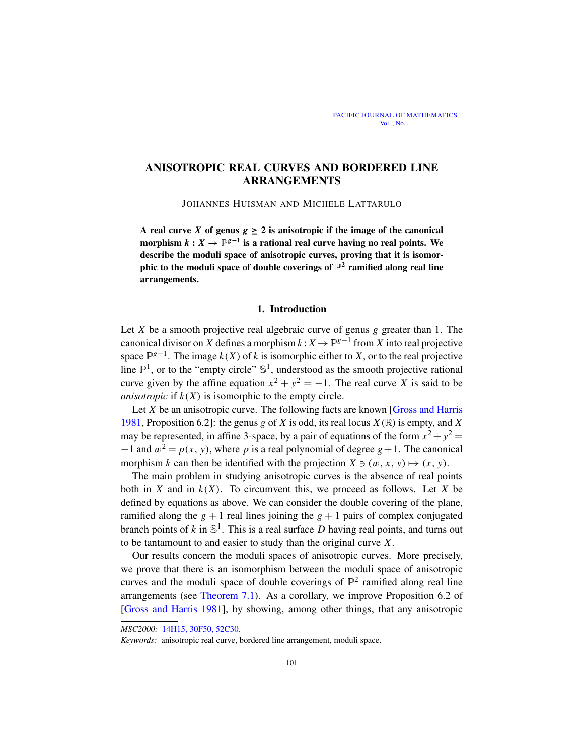# ANISOTROPIC REAL CURVES AND BORDERED LINE ARRANGEMENTS

JOHANNES HUISMAN AND MICHELE LATTARULO

A real curve *X* of genus  $g \ge 2$  is anisotropic if the image of the canonical morphism  $k: X \to \mathbb{P}^{g-1}$  is a rational real curve having no real points. We describe the moduli space of anisotropic curves, proving that it is isomorphic to the moduli space of double coverings of  $\mathbb{P}^2$  ramified along real line arrangements.

# 1. Introduction

Let *X* be a smooth projective real algebraic curve of genus *g* greater than 1. The canonical divisor on *X* defines a morphism  $k: X \to \mathbb{P}^{g-1}$  from *X* into real projective space  $\mathbb{P}^{g-1}$ . The image  $k(X)$  of  $k$  is isomorphic either to  $X$ , or to the real projective line  $\mathbb{P}^1$ , or to the "empty circle"  $\mathbb{S}^1$ , understood as the smooth projective rational curve given by the affine equation  $x^2 + y^2 = -1$ . The real curve *X* is said to be *anisotropic* if  $k(X)$  is isomorphic to the empty circle.

Let *X* be an anisotropic curve. The following facts are known [\[Gross and Harris](#page-13-0) [1981,](#page-13-0) Proposition 6.2]: the genus *g* of *X* is odd, its real locus  $X(\mathbb{R})$  is empty, and *X* may be represented, in affine 3-space, by a pair of equations of the form  $x^2 + y^2 =$  $-1$  and  $w^2 = p(x, y)$ , where *p* is a real polynomial of degree *g* + 1. The canonical morphism *k* can then be identified with the projection  $X \ni (w, x, y) \mapsto (x, y)$ .

The main problem in studying anisotropic curves is the absence of real points both in *X* and in  $k(X)$ . To circumvent this, we proceed as follows. Let *X* be defined by equations as above. We can consider the double covering of the plane, ramified along the  $g + 1$  real lines joining the  $g + 1$  pairs of complex conjugated branch points of  $k$  in  $\mathbb{S}^1$ . This is a real surface *D* having real points, and turns out to be tantamount to and easier to study than the original curve *X*.

Our results concern the moduli spaces of anisotropic curves. More precisely, we prove that there is an isomorphism between the moduli space of anisotropic curves and the moduli space of double coverings of  $\mathbb{P}^2$  ramified along real line arrangements (see [Theorem 7.1\)](#page-8-0). As a corollary, we improve Proposition 6.2 of [\[Gross and Harris 1981\]](#page-13-0), by showing, among other things, that any anisotropic

*MSC2000:* [14H15, 30F50, 52C30.](http://www.ams.org/msnmain?fn=705&pg1=CODE&op1=OR&s1=14H15, 30F50, 52C30)

*Keywords:* anisotropic real curve, bordered line arrangement, moduli space.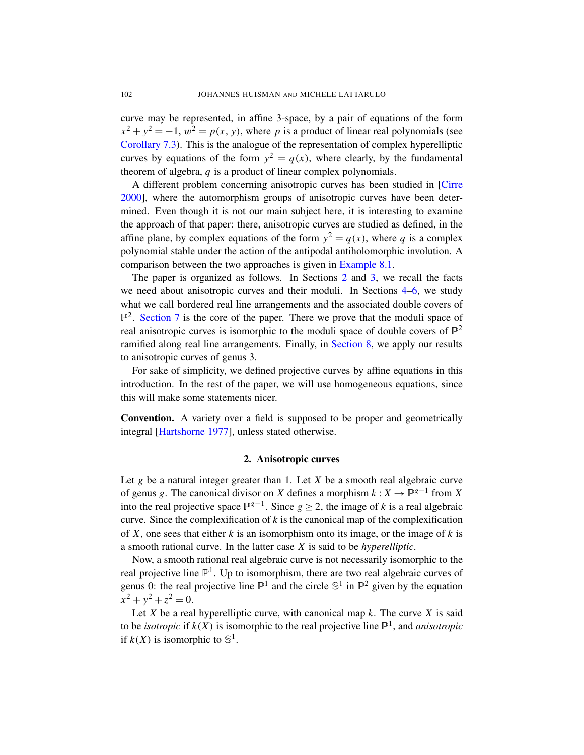curve may be represented, in affine 3-space, by a pair of equations of the form  $x^2 + y^2 = -1$ ,  $w^2 = p(x, y)$ , where *p* is a product of linear real polynomials (see [Corollary 7.3\)](#page-10-0). This is the analogue of the representation of complex hyperelliptic curves by equations of the form  $y^2 = q(x)$ , where clearly, by the fundamental theorem of algebra, *q* is a product of linear complex polynomials.

A different problem concerning anisotropic curves has been studied in [\[Cirre](#page-13-1) [2000\]](#page-13-1), where the automorphism groups of anisotropic curves have been determined. Even though it is not our main subject here, it is interesting to examine the approach of that paper: there, anisotropic curves are studied as defined, in the affine plane, by complex equations of the form  $y^2 = q(x)$ , where q is a complex polynomial stable under the action of the antipodal antiholomorphic involution. A comparison between the two approaches is given in [Example 8.1.](#page-10-1)

The paper is organized as follows. In Sections [2](#page-1-0) and [3,](#page-2-0) we recall the facts we need about anisotropic curves and their moduli. In Sections [4–](#page-4-0)[6,](#page-7-0) we study what we call bordered real line arrangements and the associated double covers of  $\mathbb{P}^2$ . [Section 7](#page-8-1) is the core of the paper. There we prove that the moduli space of real anisotropic curves is isomorphic to the moduli space of double covers of  $\mathbb{P}^2$ ramified along real line arrangements. Finally, in [Section 8,](#page-10-2) we apply our results to anisotropic curves of genus 3.

For sake of simplicity, we defined projective curves by affine equations in this introduction. In the rest of the paper, we will use homogeneous equations, since this will make some statements nicer.

Convention. A variety over a field is supposed to be proper and geometrically integral [\[Hartshorne 1977\]](#page-13-2), unless stated otherwise.

## 2. Anisotropic curves

<span id="page-1-0"></span>Let *g* be a natural integer greater than 1. Let *X* be a smooth real algebraic curve of genus *g*. The canonical divisor on *X* defines a morphism  $k: X \to \mathbb{P}^{g-1}$  from *X* into the real projective space  $\mathbb{P}^{g-1}$ . Since *g* ≥ 2, the image of *k* is a real algebraic curve. Since the complexification of  $k$  is the canonical map of the complexification of *X*, one sees that either *k* is an isomorphism onto its image, or the image of *k* is a smooth rational curve. In the latter case *X* is said to be *hyperelliptic*.

Now, a smooth rational real algebraic curve is not necessarily isomorphic to the real projective line  $\mathbb{P}^1$ . Up to isomorphism, there are two real algebraic curves of genus 0: the real projective line  $\mathbb{P}^1$  and the circle  $\mathbb{S}^1$  in  $\mathbb{P}^2$  given by the equation  $x^2 + y^2 + z^2 = 0.$ 

Let *X* be a real hyperelliptic curve, with canonical map  $k$ . The curve *X* is said to be *isotropic* if  $k(X)$  is isomorphic to the real projective line  $\mathbb{P}^1$ , and *anisotropic* if  $k(X)$  is isomorphic to  $\mathbb{S}^1$ .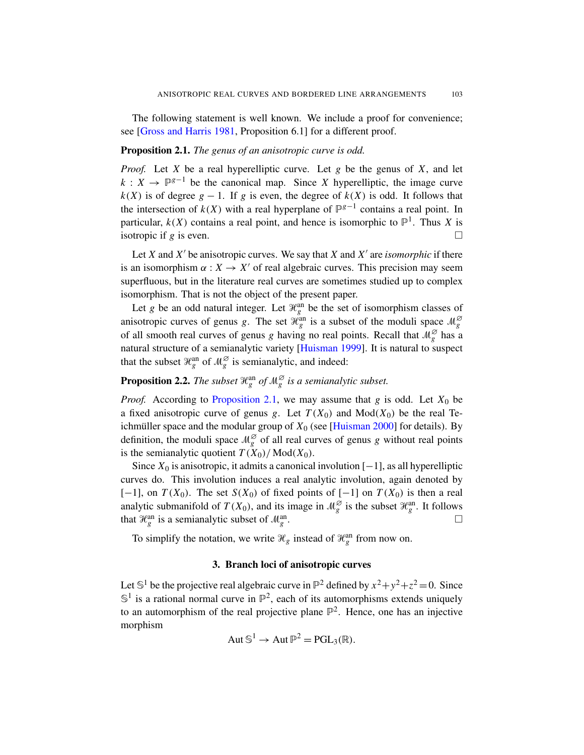The following statement is well known. We include a proof for convenience; see [\[Gross and Harris 1981,](#page-13-0) Proposition 6.1] for a different proof.

## <span id="page-2-1"></span>Proposition 2.1. *The genus of an anisotropic curve is odd.*

*Proof.* Let *X* be a real hyperelliptic curve. Let *g* be the genus of *X*, and let  $k: X \to \mathbb{P}^{g-1}$  be the canonical map. Since *X* hyperelliptic, the image curve  $k(X)$  is of degree  $g - 1$ . If *g* is even, the degree of  $k(X)$  is odd. It follows that the intersection of  $k(X)$  with a real hyperplane of  $\mathbb{P}^{g-1}$  contains a real point. In particular,  $k(X)$  contains a real point, and hence is isomorphic to  $\mathbb{P}^1$ . Thus X is isotropic if *g* is even.

Let *X* and  $X'$  be anisotropic curves. We say that  $X$  and  $X'$  are *isomorphic* if there is an isomorphism  $\alpha: X \to X'$  of real algebraic curves. This precision may seem superfluous, but in the literature real curves are sometimes studied up to complex isomorphism. That is not the object of the present paper.

Let *g* be an odd natural integer. Let  $\mathcal{H}_g^{\text{an}}$  be the set of isomorphism classes of anisotropic curves of genus *g*. The set  $\mathcal{H}_g^{\rho a n}$  is a subset of the moduli space  $\mathcal{M}_g^{\varnothing}$ of all smooth real curves of genus *g* having no real points. Recall that  $\mathcal{M}_g^{\varnothing}$  has a natural structure of a semianalytic variety [\[Huisman 1999\]](#page-13-3). It is natural to suspect that the subset  $\mathcal{H}_g^{\text{an}}$  of  $\mathcal{M}_g^{\varnothing}$  is semianalytic, and indeed:

<span id="page-2-2"></span>**Proposition 2.2.** The subset  $\mathcal{H}^{\text{an}}_{g}$  of  $\mathcal{M}^{\varnothing}_{g}$  is a semianalytic subset.

*Proof.* According to [Proposition 2.1,](#page-2-1) we may assume that  $g$  is odd. Let  $X_0$  be a fixed anisotropic curve of genus *g*. Let  $T(X_0)$  and  $Mod(X_0)$  be the real Teichmüller space and the modular group of  $X_0$  (see [\[Huisman 2000\]](#page-14-0) for details). By definition, the moduli space  $\mathcal{M}_{g}^{\varnothing}$  of all real curves of genus *g* without real points is the semianalytic quotient  $T(X_0)/Mod(X_0)$ .

Since  $X_0$  is anisotropic, it admits a canonical involution  $[-1]$ , as all hyperelliptic curves do. This involution induces a real analytic involution, again denoted by  $[-1]$ , on  $T(X_0)$ . The set  $S(X_0)$  of fixed points of  $[-1]$  on  $T(X_0)$  is then a real analytic submanifold of  $T(X_0)$ , and its image in  $\mathcal{M}_g^{\varnothing}$  is the subset  $\mathcal{H}_g^{\text{an}}$ . It follows that  $\mathcal{H}_g^{\text{an}}$  is a semianalytic subset of  $\mathcal{M}_g^{\text{an}}$ .

To simplify the notation, we write  $\mathcal{H}_g$  instead of  $\mathcal{H}_g^{\text{an}}$  from now on.

# 3. Branch loci of anisotropic curves

<span id="page-2-0"></span>Let  $\mathbb{S}^1$  be the projective real algebraic curve in  $\mathbb{P}^2$  defined by  $x^2 + y^2 + z^2 = 0$ . Since  $\mathbb{S}^1$  is a rational normal curve in  $\mathbb{P}^2$ , each of its automorphisms extends uniquely to an automorphism of the real projective plane  $\mathbb{P}^2$ . Hence, one has an injective morphism

$$
Aut \, \mathbb{S}^1 \to Aut \, \mathbb{P}^2 = PGL_3(\mathbb{R}).
$$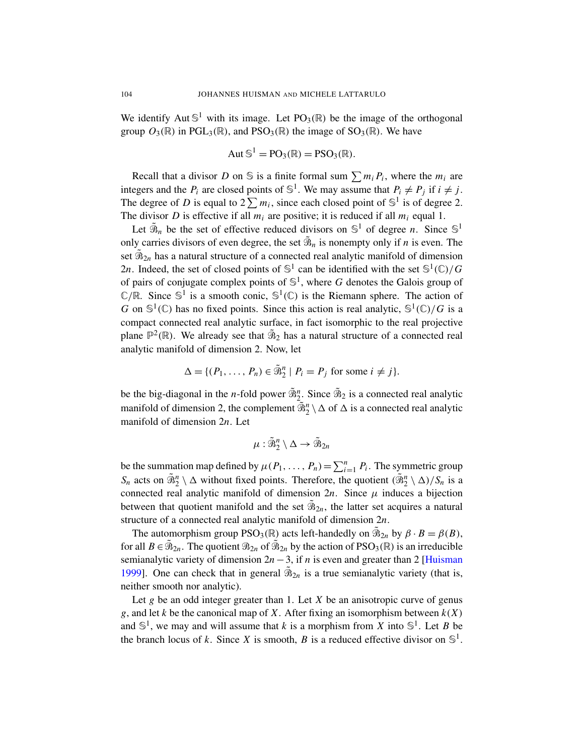We identify Aut  $\mathbb{S}^1$  with its image. Let PO<sub>3</sub>(R) be the image of the orthogonal group  $O_3(\mathbb{R})$  in PGL<sub>3</sub>( $\mathbb{R}$ ), and PSO<sub>3</sub>( $\mathbb{R}$ ) the image of SO<sub>3</sub>( $\mathbb{R}$ ). We have

$$
Aut \mathbb{S}^1 = PO_3(\mathbb{R}) = PSO_3(\mathbb{R}).
$$

Recall that a divisor *D* on  $\mathcal{S}$  is a finite formal sum  $\sum m_i P_i$ , where the  $m_i$  are integers and the  $P_i$  are closed points of  $\mathbb{S}^1$ . We may assume that  $P_i \neq P_j$  if  $i \neq j$ . The degree of *D* is equal to  $2\sum m_i$ , since each closed point of  $\mathbb{S}^1$  is of degree 2. The divisor *D* is effective if all  $m_i$  are positive; it is reduced if all  $m_i$  equal 1.

Let  $\tilde{\mathcal{B}}_n$  be the set of effective reduced divisors on  $\mathbb{S}^1$  of degree *n*. Since  $\mathbb{S}^1$ only carries divisors of even degree, the set  $\tilde{\mathcal{B}}_n$  is nonempty only if *n* is even. The set  $\tilde{\mathfrak{B}}_{2n}$  has a natural structure of a connected real analytic manifold of dimension 2*n*. Indeed, the set of closed points of  $\mathbb{S}^1$  can be identified with the set  $\mathbb{S}^1(\mathbb{C})/G$ of pairs of conjugate complex points of  $\mathbb{S}^1$ , where G denotes the Galois group of  $\mathbb{C}/\mathbb{R}$ . Since  $\mathbb{S}^1$  is a smooth conic,  $\mathbb{S}^1(\mathbb{C})$  is the Riemann sphere. The action of *G* on  $\mathbb{S}^1(\mathbb{C})$  has no fixed points. Since this action is real analytic,  $\mathbb{S}^1(\mathbb{C})/G$  is a compact connected real analytic surface, in fact isomorphic to the real projective plane  $\mathbb{P}^2(\mathbb{R})$ . We already see that  $\tilde{\mathfrak{B}}_2$  has a natural structure of a connected real analytic manifold of dimension 2. Now, let

$$
\Delta = \{ (P_1, \ldots, P_n) \in \tilde{\mathfrak{B}}_2^n \mid P_i = P_j \text{ for some } i \neq j \}.
$$

be the big-diagonal in the *n*-fold power  $\tilde{\mathfrak{B}}_2^n$ . Since  $\tilde{\mathfrak{B}}_2$  is a connected real analytic manifold of dimension 2, the complement  $\overline{\tilde{\mathfrak{B}}}_2^n \setminus \Delta$  of  $\Delta$  is a connected real analytic manifold of dimension 2*n*. Let

$$
\mu: \tilde{\mathfrak{B}}^n_2 \setminus \Delta \to \tilde{\mathfrak{B}}_{2n}
$$

be the summation map defined by  $\mu(P_1, \ldots, P_n) = \sum_{i=1}^n P_i$ . The symmetric group  $S_n$  acts on  $\tilde{\mathfrak{B}}_2^n \setminus \Delta$  without fixed points. Therefore, the quotient  $(\tilde{\mathfrak{B}}_2^n \setminus \Delta)/S_n$  is a connected real analytic manifold of dimension  $2n$ . Since  $\mu$  induces a bijection between that quotient manifold and the set  $\tilde{\mathfrak{B}}_{2n}$ , the latter set acquires a natural structure of a connected real analytic manifold of dimension 2*n*.

The automorphism group PSO<sub>3</sub>( $\mathbb{R}$ ) acts left-handedly on  $\tilde{\mathfrak{B}}_{2n}$  by  $\beta \cdot B = \beta(B)$ , for all  $B \in \tilde{B}_{2n}$ . The quotient  $B_{2n}$  of  $\tilde{B}_{2n}$  by the action of PSO<sub>3</sub>(R) is an irreducible semianalytic variety of dimension  $2n - 3$ , if *n* is even and greater than 2 [\[Huisman](#page-13-3)] [1999\]](#page-13-3). One can check that in general  $\tilde{\mathcal{B}}_{2n}$  is a true semianalytic variety (that is, neither smooth nor analytic).

Let *g* be an odd integer greater than 1. Let *X* be an anisotropic curve of genus *g*, and let *k* be the canonical map of *X*. After fixing an isomorphism between  $k(X)$ and  $\mathbb{S}^1$ , we may and will assume that *k* is a morphism from *X* into  $\mathbb{S}^1$ . Let *B* be the branch locus of *k*. Since *X* is smooth, *B* is a reduced effective divisor on  $\mathbb{S}^1$ .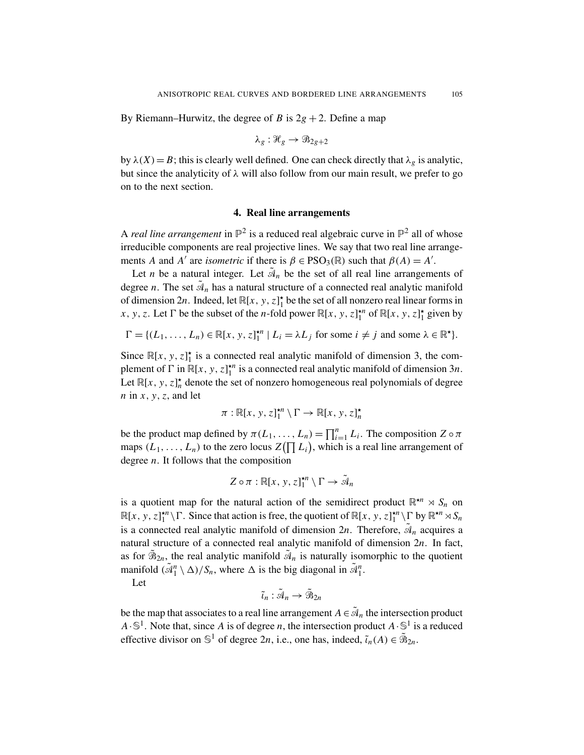By Riemann–Hurwitz, the degree of *B* is  $2g + 2$ . Define a map

$$
\lambda_g: \mathcal{H}_g \to \mathcal{B}_{2g+2}
$$

by  $\lambda(X) = B$ ; this is clearly well defined. One can check directly that  $\lambda_g$  is analytic, but since the analyticity of  $\lambda$  will also follow from our main result, we prefer to go on to the next section.

## 4. Real line arrangements

<span id="page-4-0"></span>A *real line arrangement* in  $\mathbb{P}^2$  is a reduced real algebraic curve in  $\mathbb{P}^2$  all of whose irreducible components are real projective lines. We say that two real line arrangements *A* and *A'* are *isometric* if there is  $\beta \in \text{PSO}_3(\mathbb{R})$  such that  $\beta(A) = A'$ .

Let *n* be a natural integer. Let  $\tilde{A}_n$  be the set of all real line arrangements of degree *n*. The set  $\tilde{A}_n$  has a natural structure of a connected real analytic manifold of dimension 2*n*. Indeed, let  $\mathbb{R}[x, y, z]_1^*$  be the set of all nonzero real linear forms in *x*, *y*, *z*. Let  $\Gamma$  be the subset of the *n*-fold power  $\mathbb{R}[x, y, z]_1^{*n}$  of  $\mathbb{R}[x, y, z]_1^{*}$  given by

$$
\Gamma = \{ (L_1, \ldots, L_n) \in \mathbb{R}[x, y, z]_1^{\star n} \mid L_i = \lambda L_j \text{ for some } i \neq j \text{ and some } \lambda \in \mathbb{R}^{\star} \}.
$$

Since  $\mathbb{R}[x, y, z]_1^{\star}$  is a connected real analytic manifold of dimension 3, the complement of  $\Gamma$  in  $\mathbb{R}[x, y, z]_1^{*n}$  is a connected real analytic manifold of dimension 3*n*. Let  $\mathbb{R}[x, y, z]_n^{\star}$  denote the set of nonzero homogeneous real polynomials of degree *n* in *x*, *y*,*z*, and let

$$
\pi: \mathbb{R}[x, y, z]_1^{\star n} \setminus \Gamma \to \mathbb{R}[x, y, z]_n^{\star}
$$

be the product map defined by  $\pi(L_1, \ldots, L_n) = \prod_{i=1}^n L_i$ . The composition  $Z \circ \pi$ maps  $(L_1, \ldots, L_n)$  to the zero locus  $Z(\prod L_i)$ , which is a real line arrangement of degree *n*. It follows that the composition

$$
Z \circ \pi : \mathbb{R}[x, y, z]_1^{\star n} \setminus \Gamma \to \tilde{\mathcal{A}}_n
$$

is a quotient map for the natural action of the semidirect product  $\mathbb{R}^{n} \times S_n$  on  $\mathbb{R}[x, y, z]_1^{*n} \setminus \Gamma$ . Since that action is free, the quotient of  $\mathbb{R}[x, y, z]_1^{*n} \setminus \Gamma$  by  $\mathbb{R}^{*n} \rtimes S_n$ is a connected real analytic manifold of dimension  $2n$ . Therefore,  $\tilde{A}_n$  acquires a natural structure of a connected real analytic manifold of dimension 2*n*. In fact, as for  $\tilde{\mathfrak{B}}_{2n}$ , the real analytic manifold  $\tilde{\mathfrak{A}}_n$  is naturally isomorphic to the quotient manifold  $(\tilde{A}_1^n \setminus \Delta)/S_n$ , where  $\Delta$  is the big diagonal in  $\tilde{A}_1^n$ .

Let

$$
\tilde{\iota}_n: \tilde{\mathcal{A}}_n \to \tilde{\mathcal{B}}_{2n}
$$

be the map that associates to a real line arrangement  $A \in \tilde{A}_n$  the intersection product  $A \cdot \mathbb{S}^1$ . Note that, since *A* is of degree *n*, the intersection product  $A \cdot \mathbb{S}^1$  is a reduced effective divisor on  $\mathbb{S}^1$  of degree 2*n*, i.e., one has, indeed,  $\tilde{\iota}_n(A) \in \tilde{\mathfrak{B}}_{2n}$ .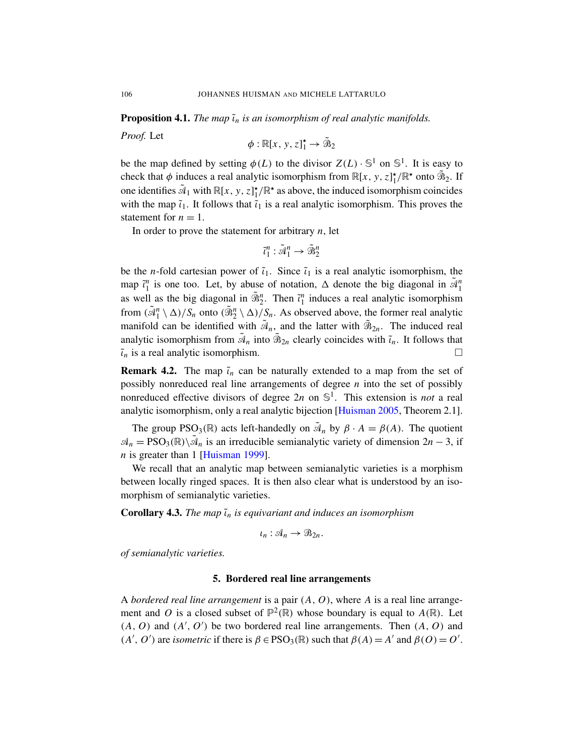**Proposition 4.1.** *The map*  $\tilde{\iota}_n$  *is an isomorphism of real analytic manifolds.* 

*Proof.* Let

$$
\phi : \mathbb{R}[x, y, z]_1^{\star} \to \tilde{\mathfrak{B}}_2
$$

be the map defined by setting  $\phi(L)$  to the divisor  $Z(L) \cdot \mathbb{S}^1$  on  $\mathbb{S}^1$ . It is easy to check that  $\phi$  induces a real analytic isomorphism from  $\mathbb{R}[x, y, z]_1^{\star}/\mathbb{R}^{\star}$  onto  $\widetilde{\mathcal{B}}_2$ . If one identifies  $\tilde{A}_1$  with  $\mathbb{R}[x, y, z]^{\star}$  /  $\mathbb{R}^{\star}$  as above, the induced isomorphism coincides with the map  $\tilde{i}_1$ . It follows that  $\tilde{i}_1$  is a real analytic isomorphism. This proves the statement for  $n = 1$ .

In order to prove the statement for arbitrary *n*, let

$$
\tilde{\iota}_1^n: \tilde{\mathcal{A}}_1^n \rightarrow \tilde{\mathcal{B}}_2^n
$$

be the *n*-fold cartesian power of  $\tilde{\iota}_1$ . Since  $\tilde{\iota}_1$  is a real analytic isomorphism, the map  $\tilde{i}_1^n$  is one too. Let, by abuse of notation,  $\Delta$  denote the big diagonal in  $\tilde{\mathcal{A}}_1^n$ as well as the big diagonal in  $\tilde{\mathfrak{B}}_2^n$ . Then  $\tilde{\iota}_1^n$  induces a real analytic isomorphism from  $(\tilde{\mathcal{A}}_1^n \setminus \Delta)/S_n$  onto  $(\tilde{\mathcal{B}}_2^n \setminus \Delta)/S_n$ . As observed above, the former real analytic manifold can be identified with  $\tilde{A}_n$ , and the latter with  $\tilde{B}_{2n}$ . The induced real analytic isomorphism from  $\tilde{A}_n$  into  $\tilde{B}_{2n}$  clearly coincides with  $\tilde{t}_n$ . It follows that  $\tilde{\iota}_n$  is a real analytic isomorphism.

**Remark 4.2.** The map  $\tilde{i}_n$  can be naturally extended to a map from the set of possibly nonreduced real line arrangements of degree *n* into the set of possibly nonreduced effective divisors of degree 2*n* on S 1 . This extension is *not* a real analytic isomorphism, only a real analytic bijection [\[Huisman 2005,](#page-14-1) Theorem 2.1].

The group  $PSO_3(\mathbb{R})$  acts left-handedly on  $\tilde{A}_n$  by  $\beta \cdot A = \beta(A)$ . The quotient  $\mathcal{A}_n = \text{PSO}_3(\mathbb{R}) \setminus \tilde{\mathcal{A}}_n$  is an irreducible semianalytic variety of dimension  $2n - 3$ , if *n* is greater than 1 [\[Huisman 1999\]](#page-13-3).

We recall that an analytic map between semianalytic varieties is a morphism between locally ringed spaces. It is then also clear what is understood by an isomorphism of semianalytic varieties.

**Corollary 4.3.** *The map*  $\tilde{\iota}_n$  *is equivariant and induces an isomorphism* 

$$
\iota_n: \mathcal{A}_n \to \mathcal{B}_{2n}.
$$

*of semianalytic varieties.*

## 5. Bordered real line arrangements

A *bordered real line arrangement* is a pair (*A*, *O*), where *A* is a real line arrangement and O is a closed subset of  $\mathbb{P}^2(\mathbb{R})$  whose boundary is equal to  $A(\mathbb{R})$ . Let  $(A, O)$  and  $(A', O')$  be two bordered real line arrangements. Then  $(A, O)$  and  $(A', O')$  are *isometric* if there is  $\beta \in \text{PSO}_3(\mathbb{R})$  such that  $\beta(A) = A'$  and  $\beta(O) = O'$ .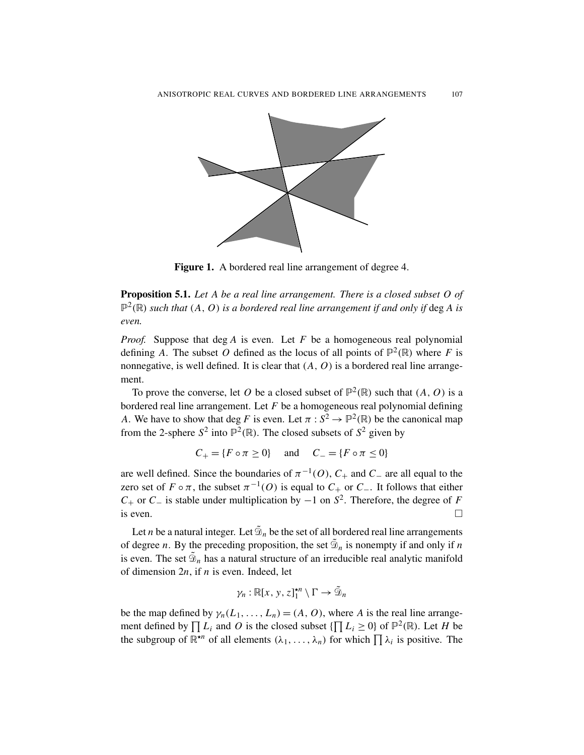

Figure 1. A bordered real line arrangement of degree 4.

Proposition 5.1. *Let A be a real line arrangement. There is a closed subset O of*  $\mathbb{P}^2(\mathbb{R})$  such that  $(A, O)$  is a bordered real line arrangement if and only if deg A is *even.*

*Proof.* Suppose that deg *A* is even. Let *F* be a homogeneous real polynomial defining A. The subset O defined as the locus of all points of  $\mathbb{P}^2(\mathbb{R})$  where F is nonnegative, is well defined. It is clear that  $(A, O)$  is a bordered real line arrangement.

To prove the converse, let O be a closed subset of  $\mathbb{P}^2(\mathbb{R})$  such that  $(A, O)$  is a bordered real line arrangement. Let *F* be a homogeneous real polynomial defining *A*. We have to show that deg *F* is even. Let  $\pi : S^2 \to \mathbb{P}^2(\mathbb{R})$  be the canonical map from the 2-sphere  $S^2$  into  $\mathbb{P}^2(\mathbb{R})$ . The closed subsets of  $S^2$  given by

$$
C_+ = \{ F \circ \pi \ge 0 \} \quad \text{and} \quad C_- = \{ F \circ \pi \le 0 \}
$$

are well defined. Since the boundaries of  $\pi^{-1}(O)$ ,  $C_+$  and  $C_-$  are all equal to the zero set of  $F \circ \pi$ , the subset  $\pi^{-1}(O)$  is equal to  $C_+$  or  $C_-$ . It follows that either  $C_+$  or  $C_-$  is stable under multiplication by  $-1$  on  $S^2$ . Therefore, the degree of *F* is even.  $\Box$ 

Let *n* be a natural integer. Let  $\tilde{\mathfrak{D}}_n$  be the set of all bordered real line arrangements of degree *n*. By the preceding proposition, the set  $\tilde{\mathcal{D}}_n$  is nonempty if and only if *n* is even. The set  $\tilde{\mathcal{D}}_n$  has a natural structure of an irreducible real analytic manifold of dimension 2*n*, if *n* is even. Indeed, let

$$
\gamma_n : \mathbb{R}[x, y, z]_1^{\star n} \setminus \Gamma \to \tilde{\mathcal{D}}_n
$$

be the map defined by  $\gamma_n(L_1, \ldots, L_n) = (A, O)$ , where *A* is the real line arrangement defined by  $\prod L_i$  and O is the closed subset  $\{\prod L_i \geq 0\}$  of  $\mathbb{P}^2(\mathbb{R})$ . Let H be the subgroup of  $\mathbb{R}^{n}$  of all elements  $(\lambda_1, \ldots, \lambda_n)$  for which  $\prod \lambda_i$  is positive. The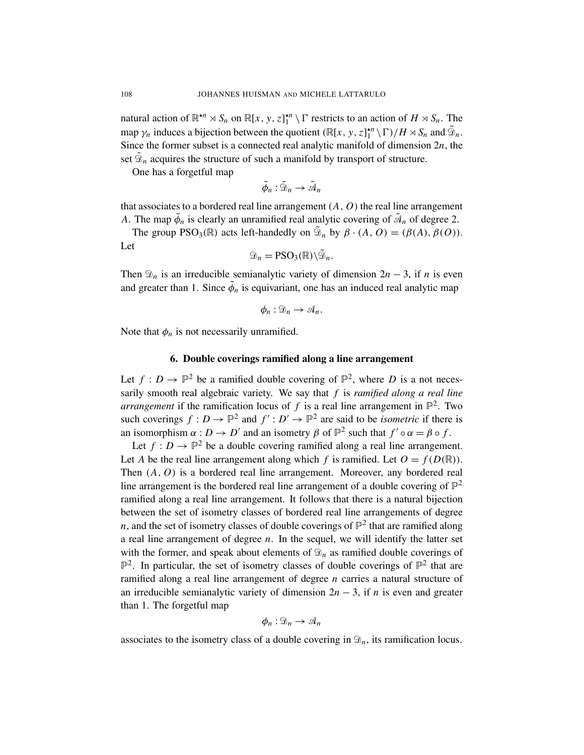natural action of  $\mathbb{R}^{n} \times S_n$  on  $\mathbb{R}[x, y, z]_1^{n} \setminus \Gamma$  restricts to an action of  $H \times S_n$ . The map  $\gamma_n$  induces a bijection between the quotient  $(\mathbb{R}[x, y, z]_1^{*n} \setminus \Gamma)/H \rtimes S_n$  and  $\tilde{\mathcal{D}}_n$ . Since the former subset is a connected real analytic manifold of dimension 2*n*, the set  $\tilde{\mathcal{D}}_n$  acquires the structure of such a manifold by transport of structure.

One has a forgetful map

$$
\tilde{\phi}_n: \tilde{\mathcal{D}}_n \to \tilde{\mathcal{A}}_n
$$

that associates to a bordered real line arrangement  $(A, O)$  the real line arrangement *A*. The map  $\tilde{\phi}_n$  is clearly an unramified real analytic covering of  $\tilde{\mathcal{A}}_n$  of degree 2.

The group PSO<sub>3</sub>( $\mathbb{R}$ ) acts left-handedly on  $\tilde{\mathfrak{D}}_n$  by  $\beta \cdot (A, O) = (\beta(A), \beta(O)).$ Let

$$
\mathfrak{D}_n = \mathrm{PSO}_3(\mathbb{R}) \backslash \tilde{\mathfrak{D}}_n.
$$

Then  $\mathcal{D}_n$  is an irreducible semianalytic variety of dimension  $2n - 3$ , if *n* is even and greater than 1. Since  $\tilde{\phi}_n$  is equivariant, one has an induced real analytic map

$$
\phi_n:\mathfrak{D}_n\to\mathfrak{A}_n.
$$

<span id="page-7-0"></span>Note that  $\phi_n$  is not necessarily unramified.

# 6. Double coverings ramified along a line arrangement

Let  $f: D \to \mathbb{P}^2$  be a ramified double covering of  $\mathbb{P}^2$ , where D is a not necessarily smooth real algebraic variety. We say that *f* is *ramified along a real line arrangement* if the ramification locus of  $f$  is a real line arrangement in  $\mathbb{P}^2$ . Two such coverings  $f: D \to \mathbb{P}^2$  and  $f': D' \to \mathbb{P}^2$  are said to be *isometric* if there is an isomorphism  $\alpha : D \to D'$  and an isometry  $\beta$  of  $\mathbb{P}^2$  such that  $f' \circ \alpha = \beta \circ f$ .

Let  $f: D \to \mathbb{P}^2$  be a double covering ramified along a real line arrangement. Let *A* be the real line arrangement along which *f* is ramified. Let  $O = f(D(\mathbb{R}))$ . Then (*A*, *O*) is a bordered real line arrangement. Moreover, any bordered real line arrangement is the bordered real line arrangement of a double covering of  $\mathbb{P}^2$ ramified along a real line arrangement. It follows that there is a natural bijection between the set of isometry classes of bordered real line arrangements of degree *n*, and the set of isometry classes of double coverings of  $\mathbb{P}^2$  that are ramified along a real line arrangement of degree *n*. In the sequel, we will identify the latter set with the former, and speak about elements of  $\mathfrak{D}_n$  as ramified double coverings of  $\mathbb{P}^2$ . In particular, the set of isometry classes of double coverings of  $\mathbb{P}^2$  that are ramified along a real line arrangement of degree *n* carries a natural structure of an irreducible semianalytic variety of dimension 2*n* − 3, if *n* is even and greater than 1. The forgetful map

$$
\phi_n:\mathfrak{D}_n\to\mathfrak{A}_n
$$

associates to the isometry class of a double covering in  $\mathcal{D}_n$ , its ramification locus.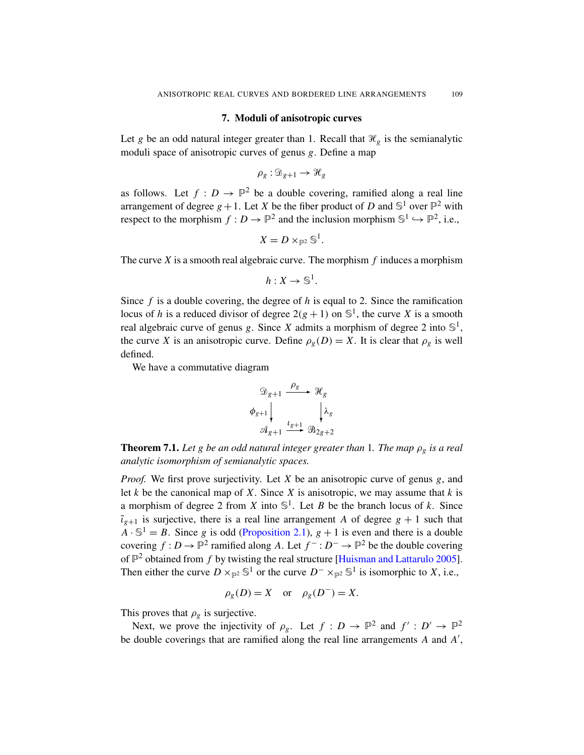#### 7. Moduli of anisotropic curves

<span id="page-8-1"></span>Let *g* be an odd natural integer greater than 1. Recall that  $\mathcal{H}_g$  is the semianalytic moduli space of anisotropic curves of genus *g*. Define a map

$$
\rho_g: \mathfrak{D}_{g+1} \to \mathcal{H}_g
$$

as follows. Let  $f: D \to \mathbb{P}^2$  be a double covering, ramified along a real line arrangement of degree  $g + 1$ . Let *X* be the fiber product of *D* and  $\mathbb{S}^1$  over  $\mathbb{P}^2$  with respect to the morphism  $f: D \to \mathbb{P}^2$  and the inclusion morphism  $\mathbb{S}^1 \hookrightarrow \mathbb{P}^2$ , i.e.,

$$
X=D\times_{\mathbb{P}^2}\mathbb{S}^1
$$

.

The curve *X* is a smooth real algebraic curve. The morphism *f* induces a morphism

$$
h:X\to \mathbb{S}^1.
$$

Since *f* is a double covering, the degree of *h* is equal to 2. Since the ramification locus of *h* is a reduced divisor of degree  $2(g + 1)$  on  $\mathbb{S}^1$ , the curve *X* is a smooth real algebraic curve of genus *g*. Since *X* admits a morphism of degree 2 into  $\mathbb{S}^1$ , the curve *X* is an anisotropic curve. Define  $\rho_g(D) = X$ . It is clear that  $\rho_g$  is well defined.

We have a commutative diagram

$$
\mathcal{D}_{g+1} \xrightarrow{\rho_g} \mathcal{H}_g
$$
  

$$
\phi_{g+1} \downarrow \qquad \qquad \downarrow \lambda_g
$$
  

$$
\mathcal{A}_{g+1} \xrightarrow{\iota_{g+1}} \mathcal{B}_{2g+2}
$$

<span id="page-8-0"></span>**Theorem 7.1.** Let g be an odd natural integer greater than 1. The map  $\rho_g$  is a real *analytic isomorphism of semianalytic spaces.*

*Proof.* We first prove surjectivity. Let *X* be an anisotropic curve of genus *g*, and let *k* be the canonical map of *X*. Since *X* is anisotropic, we may assume that *k* is a morphism of degree 2 from *X* into  $\mathbb{S}^1$ . Let *B* be the branch locus of *k*. Since  $\tilde{\iota}_{g+1}$  is surjective, there is a real line arrangement *A* of degree  $g + 1$  such that  $A \cdot \mathbb{S}^1 = B$ . Since *g* is odd [\(Proposition 2.1\)](#page-2-1),  $g + 1$  is even and there is a double covering  $f: D \to \mathbb{P}^2$  ramified along *A*. Let  $f^-: D^- \to \mathbb{P}^2$  be the double covering of  $\mathbb{P}^2$  obtained from *f* by twisting the real structure [\[Huisman and Lattarulo 2005\]](#page-14-2). Then either the curve  $D \times_{\mathbb{P}^2} \mathbb{S}^1$  or the curve  $D^- \times_{\mathbb{P}^2} \mathbb{S}^1$  is isomorphic to *X*, i.e.,

$$
\rho_g(D) = X \quad \text{or} \quad \rho_g(D^-) = X.
$$

This proves that  $\rho_g$  is surjective.

Next, we prove the injectivity of  $\rho_g$ . Let  $f: D \to \mathbb{P}^2$  and  $f': D' \to \mathbb{P}^2$ be double coverings that are ramified along the real line arrangements  $A$  and  $A'$ ,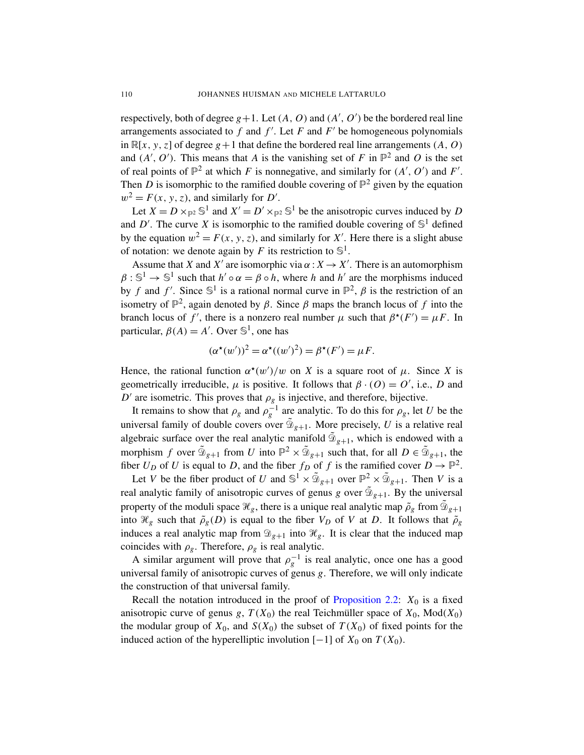respectively, both of degree  $g+1$ . Let  $(A, O)$  and  $(A', O')$  be the bordered real line arrangements associated to  $f$  and  $f'$ . Let  $F$  and  $F'$  be homogeneous polynomials in  $\mathbb{R}[x, y, z]$  of degree  $g + 1$  that define the bordered real line arrangements  $(A, O)$ and  $(A', O')$ . This means that *A* is the vanishing set of *F* in  $\mathbb{P}^2$  and *O* is the set of real points of  $\mathbb{P}^2$  at which *F* is nonnegative, and similarly for  $(A', O')$  and *F'*. Then *D* is isomorphic to the ramified double covering of  $\mathbb{P}^2$  given by the equation  $w^2 = F(x, y, z)$ , and similarly for *D'*.

Let  $X = D \times_{\mathbb{P}^2} \mathbb{S}^1$  and  $X' = D' \times_{\mathbb{P}^2} \mathbb{S}^1$  be the anisotropic curves induced by *D* and D'. The curve X is isomorphic to the ramified double covering of  $\mathbb{S}^1$  defined by the equation  $w^2 = F(x, y, z)$ , and similarly for X'. Here there is a slight abuse of notation: we denote again by *F* its restriction to  $\mathbb{S}^1$ .

Assume that *X* and *X'* are isomorphic via  $\alpha : X \to X'$ . There is an automorphism  $\beta: \mathbb{S}^1 \to \mathbb{S}^1$  such that  $h' \circ \alpha = \beta \circ h$ , where *h* and *h'* are the morphisms induced by *f* and *f'*. Since  $\mathbb{S}^1$  is a rational normal curve in  $\mathbb{P}^2$ ,  $\beta$  is the restriction of an isometry of  $\mathbb{P}^2$ , again denoted by  $\beta$ . Since  $\beta$  maps the branch locus of f into the branch locus of  $f'$ , there is a nonzero real number  $\mu$  such that  $\beta^*(F') = \mu F$ . In particular,  $\beta(A) = A'$ . Over  $\mathbb{S}^1$ , one has

$$
(\alpha^{\star}(w'))^{2} = \alpha^{\star}((w')^{2}) = \beta^{\star}(F') = \mu F.
$$

Hence, the rational function  $\alpha^*(w')/w$  on *X* is a square root of  $\mu$ . Since *X* is geometrically irreducible,  $\mu$  is positive. It follows that  $\beta \cdot (0) = 0'$ , i.e., *D* and  $D'$  are isometric. This proves that  $\rho_g$  is injective, and therefore, bijective.

It remains to show that  $\rho_g$  and  $\rho_g^{-1}$  are analytic. To do this for  $\rho_g$ , let *U* be the universal family of double covers over  $\tilde{\mathcal{D}}_{g+1}$ . More precisely, *U* is a relative real algebraic surface over the real analytic manifold  $\tilde{\mathcal{D}}_{g+1}$ , which is endowed with a morphism *f* over  $\tilde{\mathfrak{D}}_{g+1}$  from *U* into  $\mathbb{P}^2 \times \tilde{\mathfrak{D}}_{g+1}$  such that, for all  $D \in \tilde{\mathfrak{D}}_{g+1}$ , the fiber  $U_D$  of  $U$  is equal to  $D$ , and the fiber  $f_D$  of  $f$  is the ramified cover  $D \to \mathbb{P}^2$ .

Let *V* be the fiber product of *U* and  $\mathbb{S}^1 \times \tilde{\mathbb{D}}_{g+1}$  over  $\mathbb{P}^2 \times \tilde{\mathbb{D}}_{g+1}$ . Then *V* is a real analytic family of anisotropic curves of genus *g* over  $\tilde{\mathcal{D}}_{g+1}$ . By the universal property of the moduli space  $\mathcal{H}_g$ , there is a unique real analytic map  $\tilde{\rho}_g$  from  $\tilde{\mathfrak{D}}_{g+1}$ into  $\mathcal{H}_g$  such that  $\tilde{\rho}_g(D)$  is equal to the fiber  $V_D$  of V at D. It follows that  $\tilde{\rho}_g$ induces a real analytic map from  $\mathcal{D}_{g+1}$  into  $\mathcal{H}_g$ . It is clear that the induced map coincides with  $\rho_g$ . Therefore,  $\rho_g$  is real analytic.

A similar argument will prove that  $\rho_g^{-1}$  is real analytic, once one has a good universal family of anisotropic curves of genus *g*. Therefore, we will only indicate the construction of that universal family.

Recall the notation introduced in the proof of [Proposition 2.2:](#page-2-2)  $X_0$  is a fixed anisotropic curve of genus *g*,  $T(X_0)$  the real Teichmüller space of  $X_0$ , Mod $(X_0)$ the modular group of  $X_0$ , and  $S(X_0)$  the subset of  $T(X_0)$  of fixed points for the induced action of the hyperelliptic involution  $[-1]$  of  $X_0$  on  $T(X_0)$ .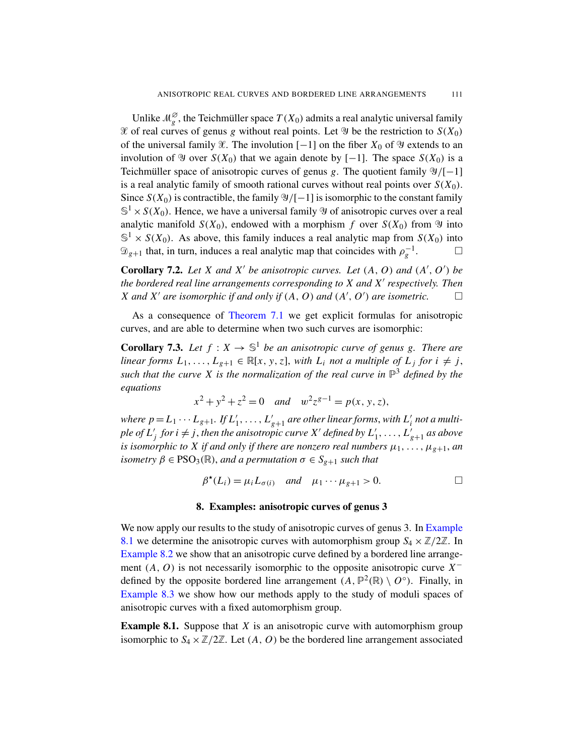Unlike  $\mathcal{M}_{g}^{\varnothing}$ , the Teichmüller space  $T(X_0)$  admits a real analytic universal family  $\mathcal X$  of real curves of genus *g* without real points. Let  $\mathcal Y$  be the restriction to  $S(X_0)$ of the universal family  $\mathcal X$ . The involution [−1] on the fiber  $X_0$  of  $\mathcal Y$  extends to an involution of  $\mathfrak{Y}$  over  $S(X_0)$  that we again denote by [−1]. The space  $S(X_0)$  is a Teichmüller space of anisotropic curves of genus  $g$ . The quotient family  $\mathcal{Y}/[-1]$ is a real analytic family of smooth rational curves without real points over  $S(X_0)$ . Since  $S(X_0)$  is contractible, the family  $\mathcal{Y}/[-1]$  is isomorphic to the constant family  $\mathbb{S}^1 \times S(X_0)$ . Hence, we have a universal family  $\mathcal Y$  of anisotropic curves over a real analytic manifold  $S(X_0)$ , endowed with a morphism *f* over  $S(X_0)$  from  $\mathfrak{Y}$  into  $\mathbb{S}^1 \times S(X_0)$ . As above, this family induces a real analytic map from  $S(X_0)$  into  $\mathfrak{D}_{g+1}$  that, in turn, induces a real analytic map that coincides with  $\rho_g^{-1}$  $\Box$ 

**Corollary 7.2.** Let X and X' be anisotropic curves. Let  $(A, O)$  and  $(A', O')$  be *the bordered real line arrangements corresponding to X and X*<sup>0</sup> *respectively. Then X* and *X'* are isomorphic if and only if  $(A, O)$  and  $(A', O')$  are isometric.  $\Box$ 

As a consequence of [Theorem 7.1](#page-8-0) we get explicit formulas for anisotropic curves, and are able to determine when two such curves are isomorphic:

<span id="page-10-0"></span>**Corollary 7.3.** Let  $f: X \to \mathbb{S}^1$  be an anisotropic curve of genus g. There are *linear forms*  $L_1, \ldots, L_{g+1} \in \mathbb{R}[x, y, z]$ , *with*  $L_i$  *not a multiple of*  $L_j$  *for*  $i \neq j$ , *such that the curve X is the normalization of the real curve in* P <sup>3</sup> *defined by the equations*

$$
x^2 + y^2 + z^2 = 0
$$
 and  $w^2 z^{g-1} = p(x, y, z)$ ,

where  $p = L_1 \cdots L_{g+1}$ . If  $L'_1, \ldots, L'_{g+1}$  are other linear forms, with  $L'_i$  not a multi $p$ le of  $L'_{j}$  for  $i \neq j$ , then the anisotropic curve  $X'$  defined by  $L'_{1}, \ldots, L'_{g+1}$  as above *is isomorphic to X if and only if there are nonzero real numbers*  $\mu_1, \ldots, \mu_{g+1}$ , *an isometry*  $\beta \in PSO_3(\mathbb{R})$ , *and a permutation*  $\sigma \in S_{g+1}$  *such that* 

$$
\beta^{\star}(L_i) = \mu_i L_{\sigma(i)} \quad \text{and} \quad \mu_1 \cdots \mu_{g+1} > 0. \qquad \Box
$$

### 8. Examples: anisotropic curves of genus 3

<span id="page-10-2"></span>We now apply our results to the study of anisotropic curves of genus 3. In [Example](#page-10-1) [8.1](#page-10-1) we determine the anisotropic curves with automorphism group  $S_4 \times \mathbb{Z}/2\mathbb{Z}$ . In [Example 8.2](#page-12-0) we show that an anisotropic curve defined by a bordered line arrangement  $(A, O)$  is not necessarily isomorphic to the opposite anisotropic curve  $X^$ defined by the opposite bordered line arrangement  $(A, \mathbb{P}^2(\mathbb{R}) \setminus O^\circ)$ . Finally, in [Example 8.3](#page-12-1) we show how our methods apply to the study of moduli spaces of anisotropic curves with a fixed automorphism group.

<span id="page-10-1"></span>**Example 8.1.** Suppose that *X* is an anisotropic curve with automorphism group isomorphic to  $S_4 \times \mathbb{Z}/2\mathbb{Z}$ . Let  $(A, O)$  be the bordered line arrangement associated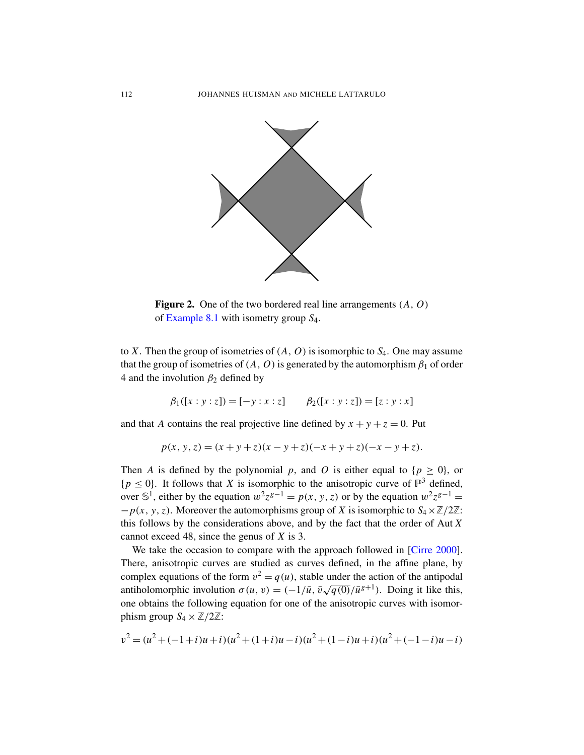

Figure 2. One of the two bordered real line arrangements (*A*, *O*) of [Example 8.1](#page-10-1) with isometry group *S*4.

to *X*. Then the group of isometries of (*A*, *O*) is isomorphic to *S*4. One may assume that the group of isometries of  $(A, O)$  is generated by the automorphism  $\beta_1$  of order 4 and the involution  $\beta_2$  defined by

$$
\beta_1([x:y:z]) = [-y:x:z] \qquad \beta_2([x:y:z]) = [z:y:x]
$$

and that *A* contains the real projective line defined by  $x + y + z = 0$ . Put

$$
p(x, y, z) = (x + y + z)(x - y + z)(-x + y + z)(-x - y + z).
$$

Then *A* is defined by the polynomial *p*, and *O* is either equal to  $\{p \ge 0\}$ , or  $\{p \leq 0\}$ . It follows that *X* is isomorphic to the anisotropic curve of  $\mathbb{P}^3$  defined, over S<sup>1</sup>, either by the equation  $w^2 z^{g-1} = p(x, y, z)$  or by the equation  $w^2 z^{g-1} =$  $-p(x, y, z)$ . Moreover the automorphisms group of *X* is isomorphic to  $S_4 \times \mathbb{Z}/2\mathbb{Z}$ : this follows by the considerations above, and by the fact that the order of Aut *X* cannot exceed 48, since the genus of *X* is 3.

We take the occasion to compare with the approach followed in [\[Cirre 2000\]](#page-13-1). There, anisotropic curves are studied as curves defined, in the affine plane, by complex equations of the form  $v^2 = q(u)$ , stable under the action of the antipodal antiholomorphic involution  $\sigma(u, v) = (-1/\bar{u}, \bar{v}\sqrt{q(0)}/\bar{u}^{g+1})$ . Doing it like this, one obtains the following equation for one of the anisotropic curves with isomorphism group  $S_4 \times \mathbb{Z}/2\mathbb{Z}$ :

$$
v^{2} = (u^{2} + (-1+i)u + i)(u^{2} + (1+i)u - i)(u^{2} + (1-i)u + i)(u^{2} + (-1-i)u - i)
$$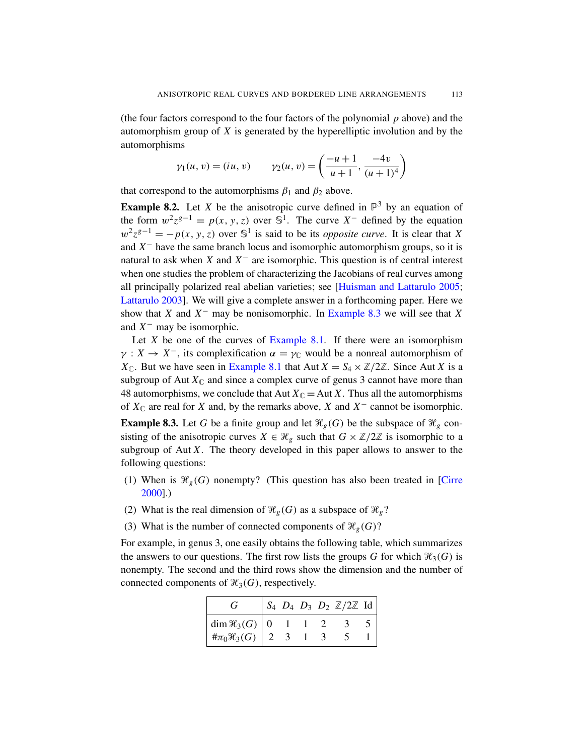(the four factors correspond to the four factors of the polynomial *p* above) and the automorphism group of *X* is generated by the hyperelliptic involution and by the automorphisms

$$
\gamma_1(u, v) = (iu, v)
$$
\n
$$
\gamma_2(u, v) = \left(\frac{-u+1}{u+1}, \frac{-4v}{(u+1)^4}\right)
$$

that correspond to the automorphisms  $\beta_1$  and  $\beta_2$  above.

<span id="page-12-0"></span>**Example 8.2.** Let *X* be the anisotropic curve defined in  $\mathbb{P}^3$  by an equation of the form  $w^2 z^{g-1} = p(x, y, z)$  over  $\mathbb{S}^1$ . The curve  $X^-$  defined by the equation  $w^2 z^{g-1} = -p(x, y, z)$  over  $\mathbb{S}^1$  is said to be its *opposite curve*. It is clear that *X* and  $X<sup>-</sup>$  have the same branch locus and isomorphic automorphism groups, so it is natural to ask when *X* and  $X^-$  are isomorphic. This question is of central interest when one studies the problem of characterizing the Jacobians of real curves among all principally polarized real abelian varieties; see [\[Huisman and Lattarulo 2005;](#page-14-2) [Lattarulo 2003\]](#page-14-3). We will give a complete answer in a forthcoming paper. Here we show that *X* and  $X^-$  may be nonisomorphic. In [Example 8.3](#page-12-1) we will see that *X* and  $X^-$  may be isomorphic.

Let  $X$  be one of the curves of [Example 8.1.](#page-10-1) If there were an isomorphism  $\gamma: X \to X^-$ , its complexification  $\alpha = \gamma_{\mathbb{C}}$  would be a nonreal automorphism of  $X_{\mathbb{C}}$ . But we have seen in [Example 8.1](#page-10-1) that Aut  $X = S_4 \times \mathbb{Z}/2\mathbb{Z}$ . Since Aut *X* is a subgroup of Aut  $X_{\mathbb{C}}$  and since a complex curve of genus 3 cannot have more than 48 automorphisms, we conclude that Aut  $X_{\mathbb{C}} =$  Aut *X*. Thus all the automorphisms of  $X_{\mathbb{C}}$  are real for *X* and, by the remarks above, *X* and  $X^{-}$  cannot be isomorphic.

<span id="page-12-1"></span>**Example 8.3.** Let *G* be a finite group and let  $\mathcal{H}_g(G)$  be the subspace of  $\mathcal{H}_g$  consisting of the anisotropic curves  $X \in \mathcal{H}_g$  such that  $G \times \mathbb{Z}/2\mathbb{Z}$  is isomorphic to a subgroup of Aut *X*. The theory developed in this paper allows to answer to the following questions:

- (1) When is  $\mathcal{H}_g(G)$  nonempty? (This question has also been treated in [\[Cirre](#page-13-1) [2000\]](#page-13-1).)
- (2) What is the real dimension of  $\mathcal{H}_g(G)$  as a subspace of  $\mathcal{H}_g$ ?
- (3) What is the number of connected components of  $\mathcal{H}_g(G)$ ?

For example, in genus 3, one easily obtains the following table, which summarizes the answers to our questions. The first row lists the groups *G* for which  $\mathcal{H}_3(G)$  is nonempty. The second and the third rows show the dimension and the number of connected components of  $\mathcal{H}_3(G)$ , respectively.

| ſ÷                         |  |  | $S_4$ $D_4$ $D_3$ $D_2$ $\mathbb{Z}/2\mathbb{Z}$ Id |  |
|----------------------------|--|--|-----------------------------------------------------|--|
| dim $\mathcal{H}_3(G)$   0 |  |  |                                                     |  |
| # $\pi_0\mathcal{H}_3(G)$  |  |  |                                                     |  |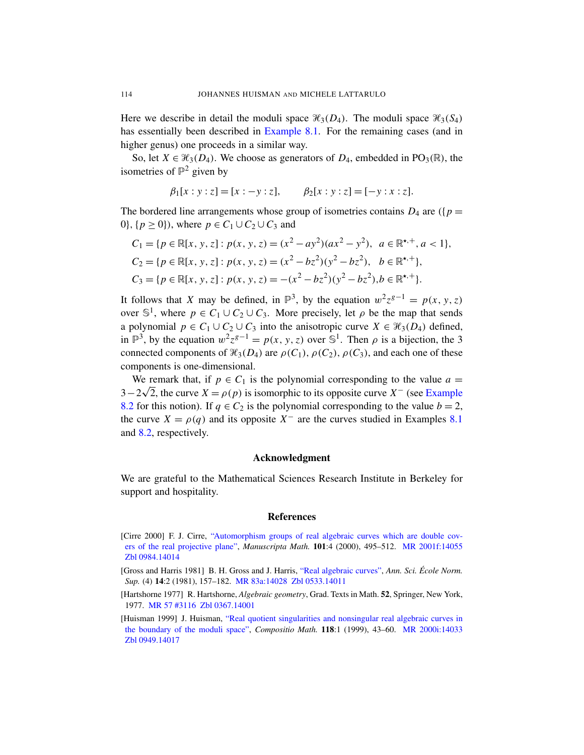Here we describe in detail the moduli space  $\mathcal{H}_3(D_4)$ . The moduli space  $\mathcal{H}_3(S_4)$ has essentially been described in [Example 8.1.](#page-10-1) For the remaining cases (and in higher genus) one proceeds in a similar way.

So, let  $X \in \mathcal{H}_3(D_4)$ . We choose as generators of  $D_4$ , embedded in PO<sub>3</sub>( $\mathbb{R}$ ), the isometries of  $\mathbb{P}^2$  given by

$$
\beta_1[x:y:z] = [x:-y:z], \qquad \beta_2[x:y:z] = [-y:x:z].
$$

The bordered line arrangements whose group of isometries contains  $D_4$  are ( $\{p =$ 0},  $\{p \ge 0\}$ , where  $p \in C_1 \cup C_2 \cup C_3$  and

$$
C_1 = \{ p \in \mathbb{R}[x, y, z] : p(x, y, z) = (x^2 - ay^2)(ax^2 - y^2), a \in \mathbb{R}^{\star,+}, a < 1 \},
$$
\n
$$
C_2 = \{ p \in \mathbb{R}[x, y, z] : p(x, y, z) = (x^2 - bz^2)(y^2 - bz^2), b \in \mathbb{R}^{\star,+} \},
$$
\n
$$
C_3 = \{ p \in \mathbb{R}[x, y, z] : p(x, y, z) = -(x^2 - bz^2)(y^2 - bz^2), b \in \mathbb{R}^{\star,+} \}.
$$

It follows that *X* may be defined, in  $\mathbb{P}^3$ , by the equation  $w^2 z^{g-1} = p(x, y, z)$ over  $\mathbb{S}^1$ , where  $p \in C_1 \cup C_2 \cup C_3$ . More precisely, let  $\rho$  be the map that sends a polynomial  $p \in C_1 \cup C_2 \cup C_3$  into the anisotropic curve  $X \in \mathcal{H}_3(D_4)$  defined, in  $\mathbb{P}^3$ , by the equation  $w^2 z^{g-1} = p(x, y, z)$  over  $\mathbb{S}^1$ . Then  $\rho$  is a bijection, the 3 connected components of  $\mathcal{H}_3(D_4)$  are  $\rho(C_1)$ ,  $\rho(C_2)$ ,  $\rho(C_3)$ , and each one of these components is one-dimensional.

We remark that, if  $p \in C_1$  is the polynomial corresponding to the value  $a =$  $3-2\sqrt{2}$ , the curve  $X = \rho(p)$  is isomorphic to its opposite curve  $X^-$  (see [Example](#page-12-0) [8.2](#page-12-0) for this notion). If  $q \in C_2$  is the polynomial corresponding to the value  $b = 2$ , the curve  $X = \rho(q)$  and its opposite  $X^-$  are the curves studied in Examples [8.1](#page-10-1) and [8.2,](#page-12-0) respectively.

### Acknowledgment

We are grateful to the Mathematical Sciences Research Institute in Berkeley for support and hospitality.

### References

- <span id="page-13-1"></span>[Cirre 2000] F. J. Cirre, ["Automorphism groups of real algebraic curves which are double cov](http://dx.doi.org/10.1007/s002290050228)[ers of the real projective plane",](http://dx.doi.org/10.1007/s002290050228) *Manuscripta Math.* 101:4 (2000), 495–512. [MR 2001f:14055](http://www.ams.org/mathscinet-getitem?mr=2001f:14055) [Zbl 0984.14014](http://www.emis.de/cgi-bin/MATH-item?0984.14014)
- <span id="page-13-0"></span>[Gross and Harris 1981] B. H. Gross and J. Harris, ["Real algebraic curves",](http://www.numdam.org/item?id=ASENS_1981_4_14_2_157_0) *Ann. Sci. École Norm. Sup.* (4) 14:2 (1981), 157–182. [MR 83a:14028](http://www.ams.org/mathscinet-getitem?mr=83a:14028) [Zbl 0533.14011](http://www.emis.de/cgi-bin/MATH-item?0533.14011)
- <span id="page-13-2"></span>[Hartshorne 1977] R. Hartshorne, *Algebraic geometry*, Grad. Texts in Math. 52, Springer, New York, 1977. [MR 57 #3116](http://www.ams.org/mathscinet-getitem?mr=57:3116) [Zbl 0367.14001](http://www.emis.de/cgi-bin/MATH-item?0367.14001)
- <span id="page-13-3"></span>[Huisman 1999] J. Huisman, ["Real quotient singularities and nonsingular real algebraic curves in](http://dx.doi.org/10.1023/A:1001021411123) [the boundary of the moduli space",](http://dx.doi.org/10.1023/A:1001021411123) *Compositio Math.* 118:1 (1999), 43–60. [MR 2000i:14033](http://www.ams.org/mathscinet-getitem?mr=2000i:14033) [Zbl 0949.14017](http://www.emis.de/cgi-bin/MATH-item?0949.14017)